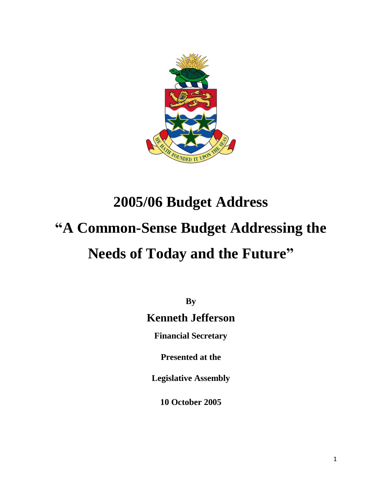

# **2005/06 Budget Address "A Common-Sense Budget Addressing the Needs of Today and the Future"**

**By**

# **Kenneth Jefferson**

**Financial Secretary**

**Presented at the**

**Legislative Assembly**

**10 October 2005**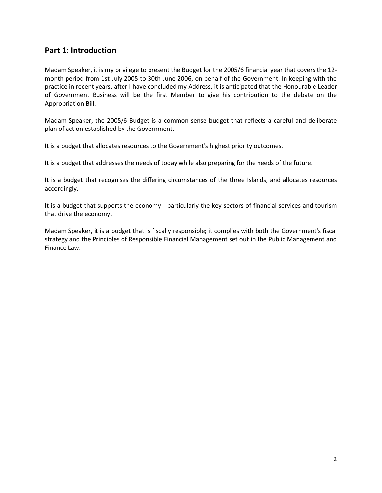## **Part 1: Introduction**

Madam Speaker, it is my privilege to present the Budget for the 2005/6 financial year that covers the 12 month period from 1st July 2005 to 30th June 2006, on behalf of the Government. In keeping with the practice in recent years, after I have concluded my Address, it is anticipated that the Honourable Leader of Government Business will be the first Member to give his contribution to the debate on the Appropriation Bill.

Madam Speaker, the 2005/6 Budget is a common-sense budget that reflects a careful and deliberate plan of action established by the Government.

It is a budget that allocates resources to the Government's highest priority outcomes.

It is a budget that addresses the needs of today while also preparing for the needs of the future.

It is a budget that recognises the differing circumstances of the three Islands, and allocates resources accordingly.

It is a budget that supports the economy - particularly the key sectors of financial services and tourism that drive the economy.

Madam Speaker, it is a budget that is fiscally responsible; it complies with both the Government's fiscal strategy and the Principles of Responsible Financial Management set out in the Public Management and Finance Law.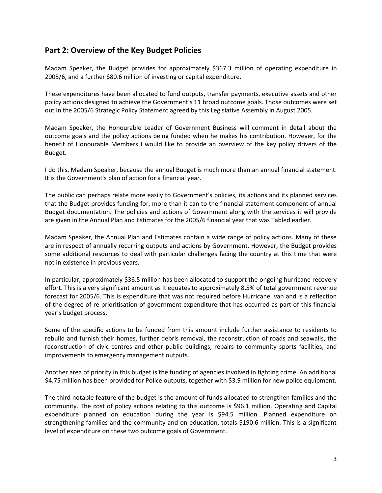# **Part 2: Overview of the Key Budget Policies**

Madam Speaker, the Budget provides for approximately \$367.3 million of operating expenditure in 2005/6, and a further \$80.6 million of investing or capital expenditure.

These expenditures have been allocated to fund outputs, transfer payments, executive assets and other policy actions designed to achieve the Government's 11 broad outcome goals. Those outcomes were set out in the 2005/6 Strategic Policy Statement agreed by this Legislative Assembly in August 2005.

Madam Speaker, the Honourable Leader of Government Business will comment in detail about the outcome goals and the policy actions being funded when he makes his contribution. However, for the benefit of Honourable Members I would like to provide an overview of the key policy drivers of the Budget.

I do this, Madam Speaker, because the annual Budget is much more than an annual financial statement. It is the Government's plan of action for a financial year.

The public can perhaps relate more easily to Government's policies, its actions and its planned services that the Budget provides funding for, more than it can to the financial statement component of annual Budget documentation. The policies and actions of Government along with the services it will provide are given in the Annual Plan and Estimates for the 2005/6 financial year that was Tabled earlier.

Madam Speaker, the Annual Plan and Estimates contain a wide range of policy actions. Many of these are in respect of annually recurring outputs and actions by Government. However, the Budget provides some additional resources to deal with particular challenges facing the country at this time that were not in existence in previous years.

In particular, approximately \$36.5 million has been allocated to support the ongoing hurricane recovery effort. This is a very significant amount as it equates to approximately 8.5% of total government revenue forecast for 2005/6. This is expenditure that was not required before Hurricane Ivan and is a reflection of the degree of re-prioritisation of government expenditure that has occurred as part of this financial year's budget process.

Some of the specific actions to be funded from this amount include further assistance to residents to rebuild and furnish their homes, further debris removal, the reconstruction of roads and seawalls, the reconstruction of civic centres and other public buildings, repairs to community sports facilities, and improvements to emergency management outputs.

Another area of priority in this budget is the funding of agencies involved in fighting crime. An additional \$4.75 million has been provided for Police outputs, together with \$3.9 million for new police equipment.

The third notable feature of the budget is the amount of funds allocated to strengthen families and the community. The cost of policy actions relating to this outcome is \$96.1 million. Operating and Capital expenditure planned on education during the year is \$94.5 million. Planned expenditure on strengthening families and the community and on education, totals \$190.6 million. This is a significant level of expenditure on these two outcome goals of Government.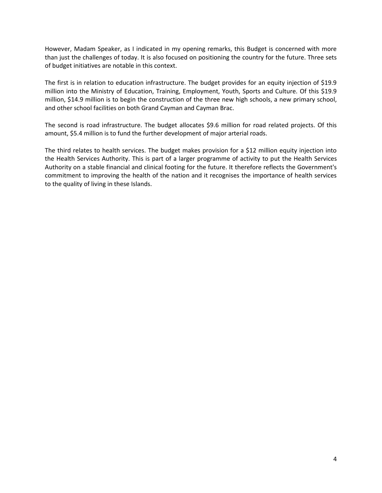However, Madam Speaker, as I indicated in my opening remarks, this Budget is concerned with more than just the challenges of today. It is also focused on positioning the country for the future. Three sets of budget initiatives are notable in this context.

The first is in relation to education infrastructure. The budget provides for an equity injection of \$19.9 million into the Ministry of Education, Training, Employment, Youth, Sports and Culture. Of this \$19.9 million, \$14.9 million is to begin the construction of the three new high schools, a new primary school, and other school facilities on both Grand Cayman and Cayman Brac.

The second is road infrastructure. The budget allocates \$9.6 million for road related projects. Of this amount, \$5.4 million is to fund the further development of major arterial roads.

The third relates to health services. The budget makes provision for a \$12 million equity injection into the Health Services Authority. This is part of a larger programme of activity to put the Health Services Authority on a stable financial and clinical footing for the future. It therefore reflects the Government's commitment to improving the health of the nation and it recognises the importance of health services to the quality of living in these Islands.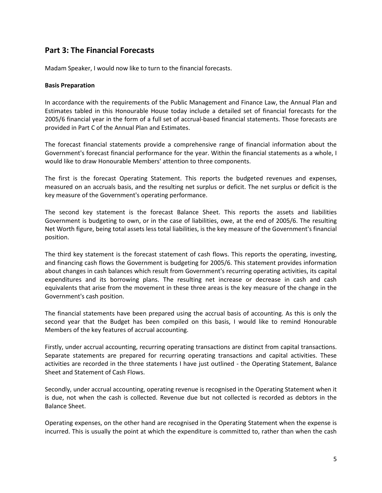# **Part 3: The Financial Forecasts**

Madam Speaker, I would now like to turn to the financial forecasts.

#### **Basis Preparation**

In accordance with the requirements of the Public Management and Finance Law, the Annual Plan and Estimates tabled in this Honourable House today include a detailed set of financial forecasts for the 2005/6 financial year in the form of a full set of accrual-based financial statements. Those forecasts are provided in Part C of the Annual Plan and Estimates.

The forecast financial statements provide a comprehensive range of financial information about the Government's forecast financial performance for the year. Within the financial statements as a whole, I would like to draw Honourable Members' attention to three components.

The first is the forecast Operating Statement. This reports the budgeted revenues and expenses, measured on an accruals basis, and the resulting net surplus or deficit. The net surplus or deficit is the key measure of the Government's operating performance.

The second key statement is the forecast Balance Sheet. This reports the assets and liabilities Government is budgeting to own, or in the case of liabilities, owe, at the end of 2005/6. The resulting Net Worth figure, being total assets less total liabilities, is the key measure of the Government's financial position.

The third key statement is the forecast statement of cash flows. This reports the operating, investing, and financing cash flows the Government is budgeting for 2005/6. This statement provides information about changes in cash balances which result from Government's recurring operating activities, its capital expenditures and its borrowing plans. The resulting net increase or decrease in cash and cash equivalents that arise from the movement in these three areas is the key measure of the change in the Government's cash position.

The financial statements have been prepared using the accrual basis of accounting. As this is only the second year that the Budget has been compiled on this basis, I would like to remind Honourable Members of the key features of accrual accounting.

Firstly, under accrual accounting, recurring operating transactions are distinct from capital transactions. Separate statements are prepared for recurring operating transactions and capital activities. These activities are recorded in the three statements I have just outlined - the Operating Statement, Balance Sheet and Statement of Cash Flows.

Secondly, under accrual accounting, operating revenue is recognised in the Operating Statement when it is due, not when the cash is collected. Revenue due but not collected is recorded as debtors in the Balance Sheet.

Operating expenses, on the other hand are recognised in the Operating Statement when the expense is incurred. This is usually the point at which the expenditure is committed to, rather than when the cash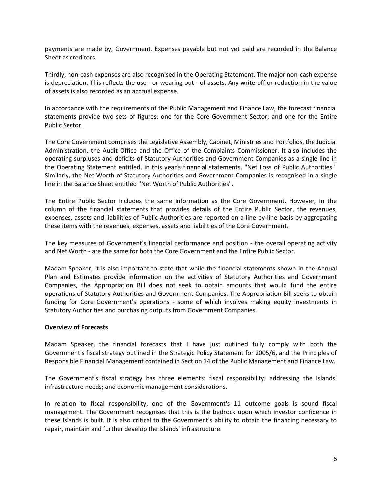payments are made by, Government. Expenses payable but not yet paid are recorded in the Balance Sheet as creditors.

Thirdly, non-cash expenses are also recognised in the Operating Statement. The major non-cash expense is depreciation. This reflects the use - or wearing out - of assets. Any write-off or reduction in the value of assets is also recorded as an accrual expense.

In accordance with the requirements of the Public Management and Finance Law, the forecast financial statements provide two sets of figures: one for the Core Government Sector; and one for the Entire Public Sector.

The Core Government comprises the Legislative Assembly, Cabinet, Ministries and Portfolios, the Judicial Administration, the Audit Office and the Office of the Complaints Commissioner. It also includes the operating surpluses and deficits of Statutory Authorities and Government Companies as a single line in the Operating Statement entitled, in this year's financial statements, "Net Loss of Public Authorities". Similarly, the Net Worth of Statutory Authorities and Government Companies is recognised in a single line in the Balance Sheet entitled "Net Worth of Public Authorities".

The Entire Public Sector includes the same information as the Core Government. However, in the column of the financial statements that provides details of the Entire Public Sector, the revenues, expenses, assets and liabilities of Public Authorities are reported on a line-by-line basis by aggregating these items with the revenues, expenses, assets and liabilities of the Core Government.

The key measures of Government's financial performance and position - the overall operating activity and Net Worth - are the same for both the Core Government and the Entire Public Sector.

Madam Speaker, it is also important to state that while the financial statements shown in the Annual Plan and Estimates provide information on the activities of Statutory Authorities and Government Companies, the Appropriation Bill does not seek to obtain amounts that would fund the entire operations of Statutory Authorities and Government Companies. The Appropriation Bill seeks to obtain funding for Core Government's operations - some of which involves making equity investments in Statutory Authorities and purchasing outputs from Government Companies.

#### **Overview of Forecasts**

Madam Speaker, the financial forecasts that I have just outlined fully comply with both the Government's fiscal strategy outlined in the Strategic Policy Statement for 2005/6, and the Principles of Responsible Financial Management contained in Section 14 of the Public Management and Finance Law.

The Government's fiscal strategy has three elements: fiscal responsibility; addressing the Islands' infrastructure needs; and economic management considerations.

In relation to fiscal responsibility, one of the Government's 11 outcome goals is sound fiscal management. The Government recognises that this is the bedrock upon which investor confidence in these Islands is built. It is also critical to the Government's ability to obtain the financing necessary to repair, maintain and further develop the Islands' infrastructure.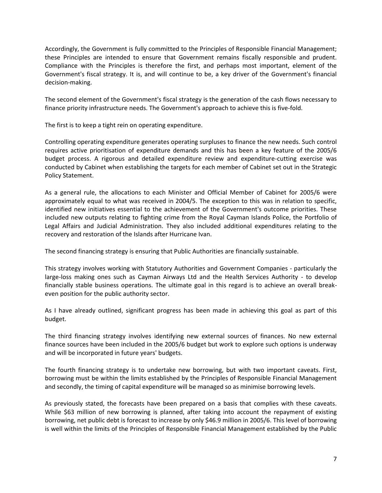Accordingly, the Government is fully committed to the Principles of Responsible Financial Management; these Principles are intended to ensure that Government remains fiscally responsible and prudent. Compliance with the Principles is therefore the first, and perhaps most important, element of the Government's fiscal strategy. It is, and will continue to be, a key driver of the Government's financial decision-making.

The second element of the Government's fiscal strategy is the generation of the cash flows necessary to finance priority infrastructure needs. The Government's approach to achieve this is five-fold.

The first is to keep a tight rein on operating expenditure.

Controlling operating expenditure generates operating surpluses to finance the new needs. Such control requires active prioritisation of expenditure demands and this has been a key feature of the 2005/6 budget process. A rigorous and detailed expenditure review and expenditure-cutting exercise was conducted by Cabinet when establishing the targets for each member of Cabinet set out in the Strategic Policy Statement.

As a general rule, the allocations to each Minister and Official Member of Cabinet for 2005/6 were approximately equal to what was received in 2004/5. The exception to this was in relation to specific, identified new initiatives essential to the achievement of the Government's outcome priorities. These included new outputs relating to fighting crime from the Royal Cayman Islands Police, the Portfolio of Legal Affairs and Judicial Administration. They also included additional expenditures relating to the recovery and restoration of the Islands after Hurricane Ivan.

The second financing strategy is ensuring that Public Authorities are financially sustainable.

This strategy involves working with Statutory Authorities and Government Companies - particularly the large-loss making ones such as Cayman Airways Ltd and the Health Services Authority - to develop financially stable business operations. The ultimate goal in this regard is to achieve an overall breakeven position for the public authority sector.

As I have already outlined, significant progress has been made in achieving this goal as part of this budget.

The third financing strategy involves identifying new external sources of finances. No new external finance sources have been included in the 2005/6 budget but work to explore such options is underway and will be incorporated in future years' budgets.

The fourth financing strategy is to undertake new borrowing, but with two important caveats. First, borrowing must be within the limits established by the Principles of Responsible Financial Management and secondly, the timing of capital expenditure will be managed so as minimise borrowing levels.

As previously stated, the forecasts have been prepared on a basis that complies with these caveats. While \$63 million of new borrowing is planned, after taking into account the repayment of existing borrowing, net public debt is forecast to increase by only \$46.9 million in 2005/6. This level of borrowing is well within the limits of the Principles of Responsible Financial Management established by the Public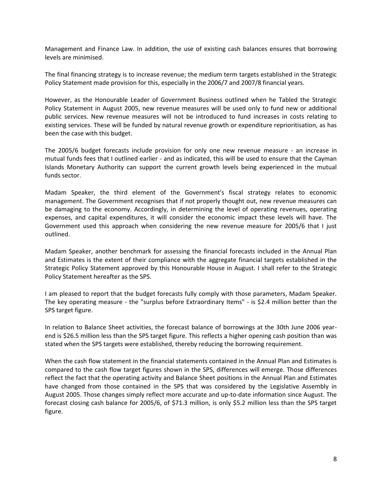Management and Finance Law. In addition, the use of existing cash balances ensures that borrowing levels are minimised.

The final financing strategy is to increase revenue; the medium term targets established in the Strategic Policy Statement made provision for this, especially in the 2006/7 and 2007/8 financial years.

However, as the Honourable Leader of Government Business outlined when he Tabled the Strategic Policy Statement in August 2005, new revenue measures will be used only to fund new or additional public services. New revenue measures will not be introduced to fund increases in costs relating to existing services. These will be funded by natural revenue growth or expenditure reprioritisation, as has been the case with this budget.

The 2005/6 budget forecasts include provision for only one new revenue measure - an increase in mutual funds fees that I outlined earlier - and as indicated, this will be used to ensure that the Cayman Islands Monetary Authority can support the current growth levels being experienced in the mutual funds sector.

Madam Speaker, the third element of the Government's fiscal strategy relates to economic management. The Government recognises that if not properly thought out, new revenue measures can be damaging to the economy. Accordingly, in determining the level of operating revenues, operating expenses, and capital expenditures, it will consider the economic impact these levels will have. The Government used this approach when considering the new revenue measure for 2005/6 that I just outlined.

Madam Speaker, another benchmark for assessing the financial forecasts included in the Annual Plan and Estimates is the extent of their compliance with the aggregate financial targets established in the Strategic Policy Statement approved by this Honourable House in August. I shall refer to the Strategic Policy Statement hereafter as the SPS.

I am pleased to report that the budget forecasts fully comply with those parameters, Madam Speaker. The key operating measure - the "surplus before Extraordinary Items" - is \$2.4 million better than the SPS target figure.

In relation to Balance Sheet activities, the forecast balance of borrowings at the 30th June 2006 yearend is \$26.5 million less than the SPS target figure. This reflects a higher opening cash position than was stated when the SPS targets were established, thereby reducing the borrowing requirement.

When the cash flow statement in the financial statements contained in the Annual Plan and Estimates is compared to the cash flow target figures shown in the SPS, differences will emerge. Those differences reflect the fact that the operating activity and Balance Sheet positions in the Annual Plan and Estimates have changed from those contained in the SPS that was considered by the Legislative Assembly in August 2005. Those changes simply reflect more accurate and up-to-date information since August. The forecast closing cash balance for 2005/6, of \$71.3 million, is only \$5.2 million less than the SPS target figure.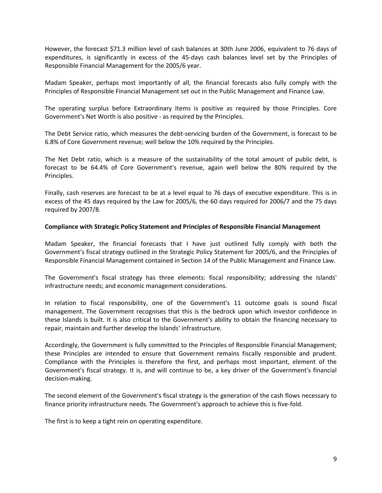However, the forecast \$71.3 million level of cash balances at 30th June 2006, equivalent to 76 days of expenditures, is significantly in excess of the 45-days cash balances level set by the Principles of Responsible Financial Management for the 2005/6 year.

Madam Speaker, perhaps most importantly of all, the financial forecasts also fully comply with the Principles of Responsible Financial Management set out in the Public Management and Finance Law.

The operating surplus before Extraordinary Items is positive as required by those Principles. Core Government's Net Worth is also positive - as required by the Principles.

The Debt Service ratio, which measures the debt-servicing burden of the Government, is forecast to be 6.8% of Core Government revenue; well below the 10% required by the Principles.

The Net Debt ratio, which is a measure of the sustainability of the total amount of public debt, is forecast to be 64.4% of Core Government's revenue, again well below the 80% required by the Principles.

Finally, cash reserves are forecast to be at a level equal to 76 days of executive expenditure. This is in excess of the 45 days required by the Law for 2005/6, the 60 days required for 2006/7 and the 75 days required by 2007/8.

#### **Compliance with Strategic Policy Statement and Principles of Responsible Financial Management**

Madam Speaker, the financial forecasts that I have just outlined fully comply with both the Government's fiscal strategy outlined in the Strategic Policy Statement for 2005/6, and the Principles of Responsible Financial Management contained in Section 14 of the Public Management and Finance Law.

The Government's fiscal strategy has three elements: fiscal responsibility; addressing the Islands' infrastructure needs; and economic management considerations.

In relation to fiscal responsibility, one of the Government's 11 outcome goals is sound fiscal management. The Government recognises that this is the bedrock upon which investor confidence in these Islands is built. It is also critical to the Government's ability to obtain the financing necessary to repair, maintain and further develop the Islands' infrastructure.

Accordingly, the Government is fully committed to the Principles of Responsible Financial Management; these Principles are intended to ensure that Government remains fiscally responsible and prudent. Compliance with the Principles is therefore the first, and perhaps most important, element of the Government's fiscal strategy. It is, and will continue to be, a key driver of the Government's financial decision-making.

The second element of the Government's fiscal strategy is the generation of the cash flows necessary to finance priority infrastructure needs. The Government's approach to achieve this is five-fold.

The first is to keep a tight rein on operating expenditure.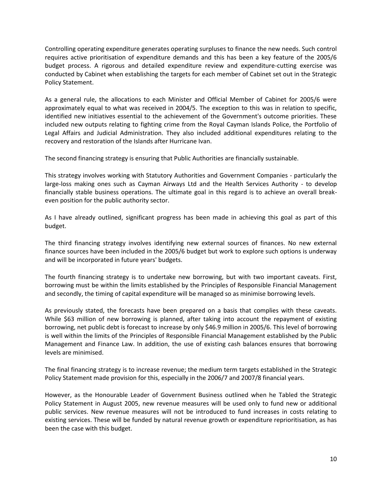Controlling operating expenditure generates operating surpluses to finance the new needs. Such control requires active prioritisation of expenditure demands and this has been a key feature of the 2005/6 budget process. A rigorous and detailed expenditure review and expenditure-cutting exercise was conducted by Cabinet when establishing the targets for each member of Cabinet set out in the Strategic Policy Statement.

As a general rule, the allocations to each Minister and Official Member of Cabinet for 2005/6 were approximately equal to what was received in 2004/5. The exception to this was in relation to specific, identified new initiatives essential to the achievement of the Government's outcome priorities. These included new outputs relating to fighting crime from the Royal Cayman Islands Police, the Portfolio of Legal Affairs and Judicial Administration. They also included additional expenditures relating to the recovery and restoration of the Islands after Hurricane Ivan.

The second financing strategy is ensuring that Public Authorities are financially sustainable.

This strategy involves working with Statutory Authorities and Government Companies - particularly the large-loss making ones such as Cayman Airways Ltd and the Health Services Authority - to develop financially stable business operations. The ultimate goal in this regard is to achieve an overall breakeven position for the public authority sector.

As I have already outlined, significant progress has been made in achieving this goal as part of this budget.

The third financing strategy involves identifying new external sources of finances. No new external finance sources have been included in the 2005/6 budget but work to explore such options is underway and will be incorporated in future years' budgets.

The fourth financing strategy is to undertake new borrowing, but with two important caveats. First, borrowing must be within the limits established by the Principles of Responsible Financial Management and secondly, the timing of capital expenditure will be managed so as minimise borrowing levels.

As previously stated, the forecasts have been prepared on a basis that complies with these caveats. While \$63 million of new borrowing is planned, after taking into account the repayment of existing borrowing, net public debt is forecast to increase by only \$46.9 million in 2005/6. This level of borrowing is well within the limits of the Principles of Responsible Financial Management established by the Public Management and Finance Law. In addition, the use of existing cash balances ensures that borrowing levels are minimised.

The final financing strategy is to increase revenue; the medium term targets established in the Strategic Policy Statement made provision for this, especially in the 2006/7 and 2007/8 financial years.

However, as the Honourable Leader of Government Business outlined when he Tabled the Strategic Policy Statement in August 2005, new revenue measures will be used only to fund new or additional public services. New revenue measures will not be introduced to fund increases in costs relating to existing services. These will be funded by natural revenue growth or expenditure reprioritisation, as has been the case with this budget.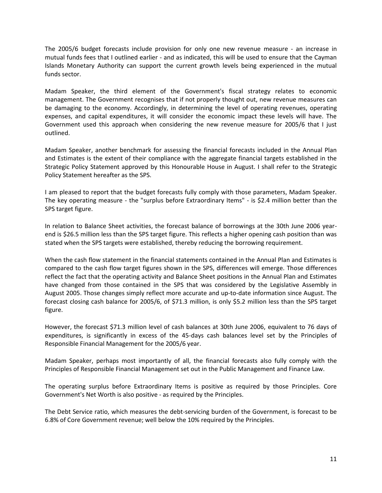The 2005/6 budget forecasts include provision for only one new revenue measure - an increase in mutual funds fees that I outlined earlier - and as indicated, this will be used to ensure that the Cayman Islands Monetary Authority can support the current growth levels being experienced in the mutual funds sector.

Madam Speaker, the third element of the Government's fiscal strategy relates to economic management. The Government recognises that if not properly thought out, new revenue measures can be damaging to the economy. Accordingly, in determining the level of operating revenues, operating expenses, and capital expenditures, it will consider the economic impact these levels will have. The Government used this approach when considering the new revenue measure for 2005/6 that I just outlined.

Madam Speaker, another benchmark for assessing the financial forecasts included in the Annual Plan and Estimates is the extent of their compliance with the aggregate financial targets established in the Strategic Policy Statement approved by this Honourable House in August. I shall refer to the Strategic Policy Statement hereafter as the SPS.

I am pleased to report that the budget forecasts fully comply with those parameters, Madam Speaker. The key operating measure - the "surplus before Extraordinary Items" - is \$2.4 million better than the SPS target figure.

In relation to Balance Sheet activities, the forecast balance of borrowings at the 30th June 2006 yearend is \$26.5 million less than the SPS target figure. This reflects a higher opening cash position than was stated when the SPS targets were established, thereby reducing the borrowing requirement.

When the cash flow statement in the financial statements contained in the Annual Plan and Estimates is compared to the cash flow target figures shown in the SPS, differences will emerge. Those differences reflect the fact that the operating activity and Balance Sheet positions in the Annual Plan and Estimates have changed from those contained in the SPS that was considered by the Legislative Assembly in August 2005. Those changes simply reflect more accurate and up-to-date information since August. The forecast closing cash balance for 2005/6, of \$71.3 million, is only \$5.2 million less than the SPS target figure.

However, the forecast \$71.3 million level of cash balances at 30th June 2006, equivalent to 76 days of expenditures, is significantly in excess of the 45-days cash balances level set by the Principles of Responsible Financial Management for the 2005/6 year.

Madam Speaker, perhaps most importantly of all, the financial forecasts also fully comply with the Principles of Responsible Financial Management set out in the Public Management and Finance Law.

The operating surplus before Extraordinary Items is positive as required by those Principles. Core Government's Net Worth is also positive - as required by the Principles.

The Debt Service ratio, which measures the debt-servicing burden of the Government, is forecast to be 6.8% of Core Government revenue; well below the 10% required by the Principles.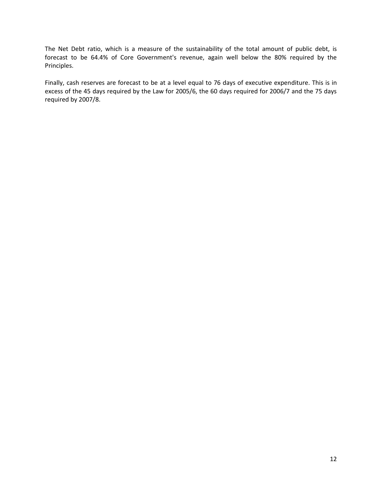The Net Debt ratio, which is a measure of the sustainability of the total amount of public debt, is forecast to be 64.4% of Core Government's revenue, again well below the 80% required by the Principles.

Finally, cash reserves are forecast to be at a level equal to 76 days of executive expenditure. This is in excess of the 45 days required by the Law for 2005/6, the 60 days required for 2006/7 and the 75 days required by 2007/8.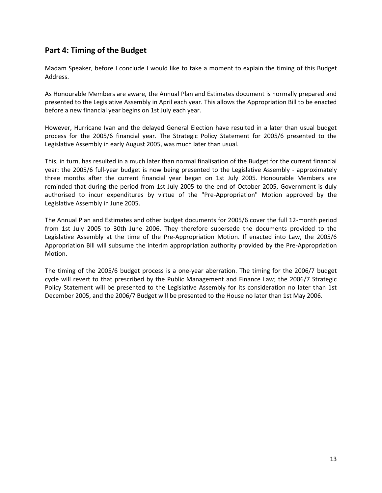# **Part 4: Timing of the Budget**

Madam Speaker, before I conclude I would like to take a moment to explain the timing of this Budget Address.

As Honourable Members are aware, the Annual Plan and Estimates document is normally prepared and presented to the Legislative Assembly in April each year. This allows the Appropriation Bill to be enacted before a new financial year begins on 1st July each year.

However, Hurricane Ivan and the delayed General Election have resulted in a later than usual budget process for the 2005/6 financial year. The Strategic Policy Statement for 2005/6 presented to the Legislative Assembly in early August 2005, was much later than usual.

This, in turn, has resulted in a much later than normal finalisation of the Budget for the current financial year: the 2005/6 full-year budget is now being presented to the Legislative Assembly - approximately three months after the current financial year began on 1st July 2005. Honourable Members are reminded that during the period from 1st July 2005 to the end of October 2005, Government is duly authorised to incur expenditures by virtue of the "Pre-Appropriation" Motion approved by the Legislative Assembly in June 2005.

The Annual Plan and Estimates and other budget documents for 2005/6 cover the full 12-month period from 1st July 2005 to 30th June 2006. They therefore supersede the documents provided to the Legislative Assembly at the time of the Pre-Appropriation Motion. If enacted into Law, the 2005/6 Appropriation Bill will subsume the interim appropriation authority provided by the Pre-Appropriation Motion.

The timing of the 2005/6 budget process is a one-year aberration. The timing for the 2006/7 budget cycle will revert to that prescribed by the Public Management and Finance Law; the 2006/7 Strategic Policy Statement will be presented to the Legislative Assembly for its consideration no later than 1st December 2005, and the 2006/7 Budget will be presented to the House no later than 1st May 2006.